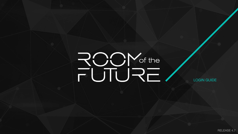# ROOM<br>FUTURE



## LOGIN GUIDE

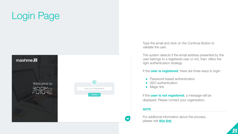## Login Page

 $$ 

Welcome to ROOM<sub>of the</sub><br>FUTURE



Type the email and click on the Continue Button to validate the user.

The system detects if the email address presented by the user belongs to a registered user or not, then offers the right authentication strategy.

If the **user is registered**, there are three ways to login:

 $\overline{\mathbf{p}}$ 

- Password-based authentication
- SSO authentication
- Magic link

If the **user is not registered**, a message will be displayed. Please contact your organization.

**NOTE**

 $\qquad \qquad \blacksquare$ 

For additional information about the process, please visit **[this link](https://help.mashme.io/support/solutions/articles/29000041118)**.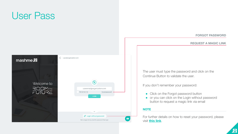

The user must type the password and click on the Continue Button to validate the user.

If you don't remember your password:

• Click on the Forgot password button ● or you can click on the Login without password button to request a magic link via email



For further details on how to reset your password, please visit **[this link](https://help.mashme.io/support/solutions/articles/29000004050)**.



## **FORGOT PASSWORD**

### **REQUEST A MAGIC LINK**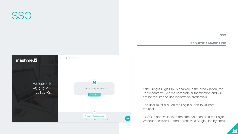If the **Single Sign On** is enabled in the organisation, the Participants will join via corporate authentication and will not be required to use registration credentials.

The user must click on the Login button to validate

If SSO Is not available at the time, you can click the Login Without password button to receive a Magic Link by email.



## SS<sub>C</sub> < | user@organization.com  $$  $\overline{\mathbf{Q}}$ Welcome to ROOM<sub>of the</sub><br>FUTURE Login via Single Sign-On **LOGIN** the user.  $\alpha$  $\mathscr{O}$  Login without password  $\left( \blacksquare \right)$ Get a magic link by email for password-free login

**SSO**

### **REQUEST A MAGIC LINK**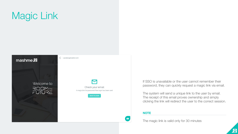## Magic Link

If SSO is unavailable or the user cannot remember their password, they can quickly request a magic link via email.

The system will send a unique link to the user by email. The receipt of this email proves ownership and simply clicking the link will redirect the user to the correct session.



The magic link is valid only for 30 minutes

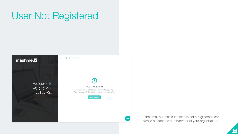## User Not Registered



If the email address submitted is not a registered user, please contact the administrator of your organization.